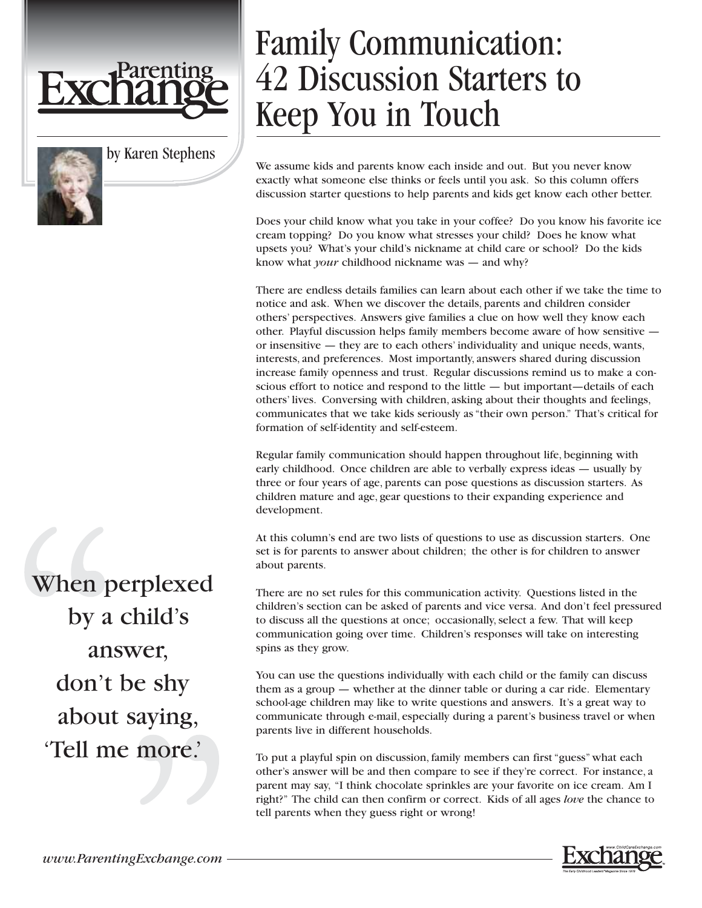

by Karen Stephens

## Family Communication: 42 Discussion Starters to Keep You in Touch

We assume kids and parents know each inside and out. But you never know exactly what someone else thinks or feels until you ask. So this column offers discussion starter questions to help parents and kids get know each other better.

Does your child know what you take in your coffee? Do you know his favorite ice cream topping? Do you know what stresses your child? Does he know what upsets you? What's your child's nickname at child care or school? Do the kids know what *your* childhood nickname was — and why?

There are endless details families can learn about each other if we take the time to notice and ask. When we discover the details, parents and children consider others' perspectives. Answers give families a clue on how well they know each other. Playful discussion helps family members become aware of how sensitive or insensitive — they are to each others' individuality and unique needs, wants, interests, and preferences. Most importantly, answers shared during discussion increase family openness and trust. Regular discussions remind us to make a conscious effort to notice and respond to the little — but important—details of each others' lives. Conversing with children, asking about their thoughts and feelings, communicates that we take kids seriously as "their own person." That's critical for formation of self-identity and self-esteem.

Regular family communication should happen throughout life, beginning with early childhood. Once children are able to verbally express ideas — usually by three or four years of age, parents can pose questions as discussion starters. As children mature and age, gear questions to their expanding experience and development.

At this column's end are two lists of questions to use as discussion starters. One set is for parents to answer about children; the other is for children to answer about parents.

There are no set rules for this communication activity. Questions listed in the children's section can be asked of parents and vice versa. And don't feel pressured to discuss all the questions at once; occasionally, select a few. That will keep communication going over time. Children's responses will take on interesting spins as they grow.

You can use the questions individually with each child or the family can discuss them as a group — whether at the dinner table or during a car ride. Elementary school-age children may like to write questions and answers. It's a great way to communicate through e-mail, especially during a parent's business travel or when parents live in different households.

To put a playful spin on discussion, family members can first "guess" what each other's answer will be and then compare to see if they're correct. For instance, a parent may say, "I think chocolate sprinkles are your favorite on ice cream. Am I right?" The child can then confirm or correct. Kids of all ages *love* the chance to tell parents when they guess right or wrong!

When perplexed by a child's answer, don't be shy about saying, 'Tell me more.'

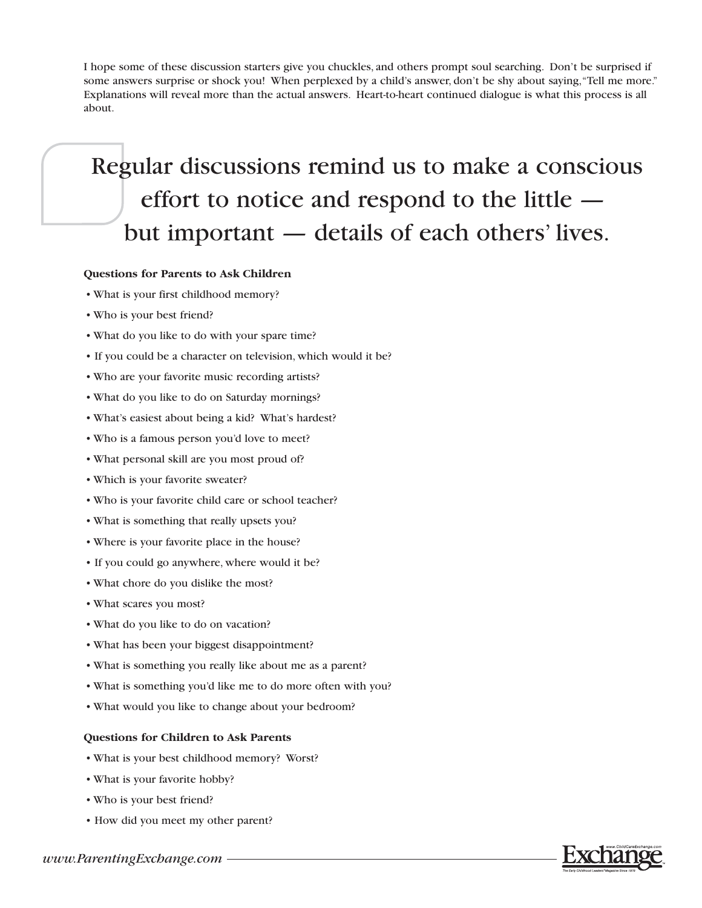I hope some of these discussion starters give you chuckles, and others prompt soul searching. Don't be surprised if some answers surprise or shock you! When perplexed by a child's answer, don't be shy about saying,"Tell me more." Explanations will reveal more than the actual answers. Heart-to-heart continued dialogue is what this process is all about.

## Regular discussions remind us to make a conscious effort to notice and respond to the little but important — details of each others' lives.

## **Questions for Parents to Ask Children**

- What is your first childhood memory?
- Who is your best friend?
- What do you like to do with your spare time?
- If you could be a character on television, which would it be?
- Who are your favorite music recording artists?
- What do you like to do on Saturday mornings?
- What's easiest about being a kid? What's hardest?
- Who is a famous person you'd love to meet?
- What personal skill are you most proud of?
- Which is your favorite sweater?
- Who is your favorite child care or school teacher?
- What is something that really upsets you?
- Where is your favorite place in the house?
- If you could go anywhere, where would it be?
- What chore do you dislike the most?
- What scares you most?
- What do you like to do on vacation?
- What has been your biggest disappointment?
- What is something you really like about me as a parent?
- What is something you'd like me to do more often with you?
- What would you like to change about your bedroom?

## **Questions for Children to Ask Parents**

- What is your best childhood memory? Worst?
- What is your favorite hobby?
- Who is your best friend?
- How did you meet my other parent?